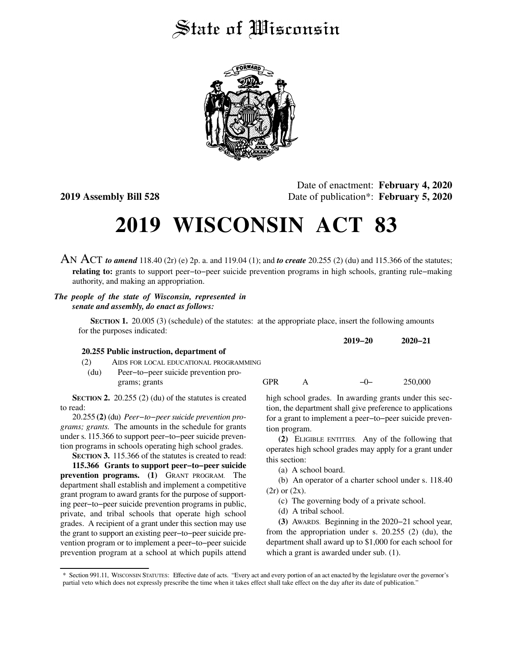## State of *Wisconsin*



Date of enactment: **February 4, 2020 2019 Assembly Bill 528** Date of publication\*: **February 5, 2020**

## **2019 WISCONSIN ACT 83**

AN ACT *to amend* 118.40 (2r) (e) 2p. a. and 119.04 (1); and *to create* 20.255 (2) (du) and 115.366 of the statutes; **relating to:** grants to support peer−to−peer suicide prevention programs in high schools, granting rule−making authority, and making an appropriation.

## *The people of the state of Wisconsin, represented in senate and assembly, do enact as follows:*

**SECTION 1.** 20.005 (3) (schedule) of the statutes: at the appropriate place, insert the following amounts for the purposes indicated:

|      |                                          |            |              | $2012 - 20$ | $2020 - 21$ |
|------|------------------------------------------|------------|--------------|-------------|-------------|
|      | 20.255 Public instruction, department of |            |              |             |             |
| (2)  | AIDS FOR LOCAL EDUCATIONAL PROGRAMMING   |            |              |             |             |
| (du) | Peer-to-peer suicide prevention pro-     |            |              |             |             |
|      | grams; grants                            | <b>GPR</b> | $\mathbf{A}$ | $-(-$       | 250,000     |

**SECTION 2.** 20.255 (2) (du) of the statutes is created to read:

20.255 **(2)** (du) *Peer−to−peer suicide prevention programs; grants.* The amounts in the schedule for grants under s. 115.366 to support peer−to−peer suicide prevention programs in schools operating high school grades.

**SECTION 3.** 115.366 of the statutes is created to read:

**115.366 Grants to support peer−to−peer suicide prevention programs. (1)** GRANT PROGRAM. The department shall establish and implement a competitive grant program to award grants for the purpose of supporting peer−to−peer suicide prevention programs in public, private, and tribal schools that operate high school grades. A recipient of a grant under this section may use the grant to support an existing peer−to−peer suicide prevention program or to implement a peer−to−peer suicide prevention program at a school at which pupils attend

high school grades. In awarding grants under this section, the department shall give preference to applications for a grant to implement a peer−to−peer suicide prevention program.

**2019−20 2020−21**

**(2)** ELIGIBLE ENTITIES. Any of the following that operates high school grades may apply for a grant under this section:

(a) A school board.

(b) An operator of a charter school under s. 118.40  $(2r)$  or  $(2x)$ .

(c) The governing body of a private school.

(d) A tribal school.

**(3)** AWARDS. Beginning in the 2020−21 school year, from the appropriation under s. 20.255 (2) (du), the department shall award up to \$1,000 for each school for which a grant is awarded under sub. (1).

<sup>\*</sup> Section 991.11, WISCONSIN STATUTES: Effective date of acts. "Every act and every portion of an act enacted by the legislature over the governor's partial veto which does not expressly prescribe the time when it takes effect shall take effect on the day after its date of publication."